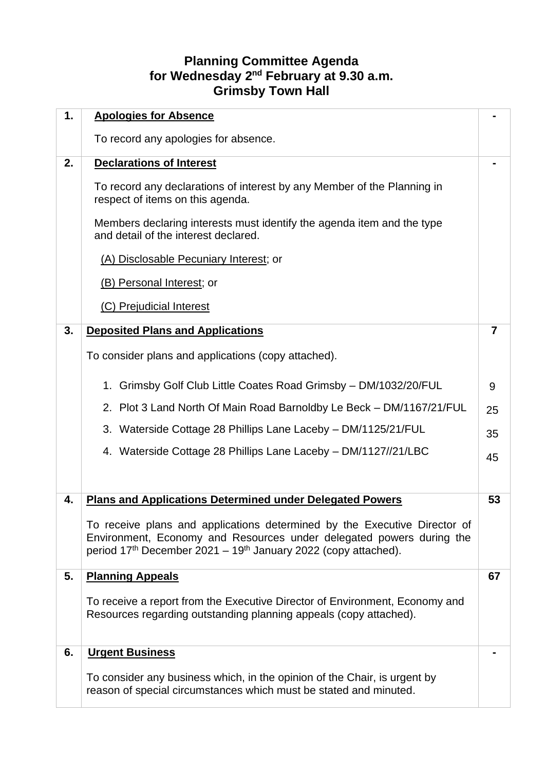## **Planning Committee Agenda for Wednesday 2 nd February at 9.30 a.m. Grimsby Town Hall**

| 1. | <b>Apologies for Absence</b>                                                                                                                                                                                                                |                |
|----|---------------------------------------------------------------------------------------------------------------------------------------------------------------------------------------------------------------------------------------------|----------------|
|    | To record any apologies for absence.                                                                                                                                                                                                        |                |
| 2. | <b>Declarations of Interest</b>                                                                                                                                                                                                             |                |
|    | To record any declarations of interest by any Member of the Planning in<br>respect of items on this agenda.                                                                                                                                 |                |
|    | Members declaring interests must identify the agenda item and the type<br>and detail of the interest declared.                                                                                                                              |                |
|    | (A) Disclosable Pecuniary Interest; or                                                                                                                                                                                                      |                |
|    | (B) Personal Interest; or                                                                                                                                                                                                                   |                |
|    | (C) Prejudicial Interest                                                                                                                                                                                                                    |                |
| 3. | <b>Deposited Plans and Applications</b>                                                                                                                                                                                                     | $\overline{7}$ |
|    | To consider plans and applications (copy attached).                                                                                                                                                                                         |                |
|    | 1. Grimsby Golf Club Little Coates Road Grimsby - DM/1032/20/FUL                                                                                                                                                                            | 9              |
|    | 2. Plot 3 Land North Of Main Road Barnoldby Le Beck - DM/1167/21/FUL                                                                                                                                                                        | 25             |
|    | 3. Waterside Cottage 28 Phillips Lane Laceby - DM/1125/21/FUL                                                                                                                                                                               | 35             |
|    | 4. Waterside Cottage 28 Phillips Lane Laceby - DM/1127//21/LBC                                                                                                                                                                              | 45             |
|    |                                                                                                                                                                                                                                             |                |
| 4. | <b>Plans and Applications Determined under Delegated Powers</b>                                                                                                                                                                             | 53             |
|    | To receive plans and applications determined by the Executive Director of<br>Environment, Economy and Resources under delegated powers during the<br>period 17 <sup>th</sup> December 2021 – 19 <sup>th</sup> January 2022 (copy attached). |                |
| 5. | <b>Planning Appeals</b>                                                                                                                                                                                                                     | 67             |
|    | To receive a report from the Executive Director of Environment, Economy and<br>Resources regarding outstanding planning appeals (copy attached).                                                                                            |                |
| 6. | <b>Urgent Business</b>                                                                                                                                                                                                                      |                |
|    | To consider any business which, in the opinion of the Chair, is urgent by<br>reason of special circumstances which must be stated and minuted.                                                                                              |                |